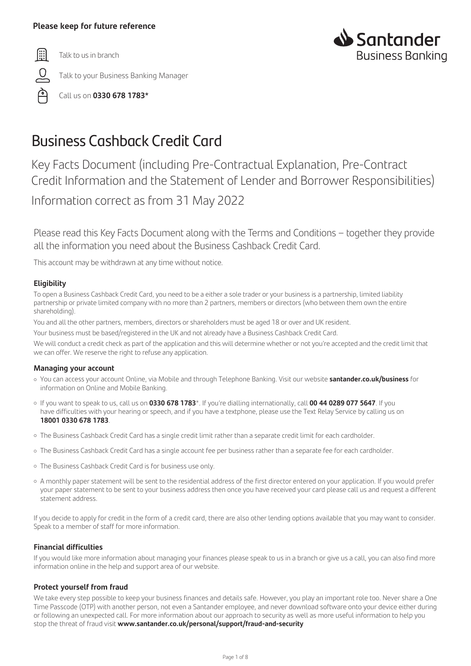# **Please keep for future reference**

圖

ല

Talk to us in branch

Talk to your Business Banking Manager



Call us on **0330 678 1783\***

# Business Cashback Credit Card

Key Facts Document (including Pre-Contractual Explanation, Pre-Contract Credit Information and the Statement of Lender and Borrower Responsibilities)

Information correct as from 31 May 2022

Please read this Key Facts Document along with the Terms and Conditions – together they provide all the information you need about the Business Cashback Credit Card.

This account may be withdrawn at any time without notice.

# **Eligibility**

To open a Business Cashback Credit Card, you need to be a either a sole trader or your business is a partnership, limited liability partnership or private limited company with no more than 2 partners, members or directors (who between them own the entire shareholding).

You and all the other partners, members, directors or shareholders must be aged 18 or over and UK resident.

Your business must be based/registered in the UK and not already have a Business Cashback Credit Card.

We will conduct a credit check as part of the application and this will determine whether or not you're accepted and the credit limit that we can offer. We reserve the right to refuse any application.

# **Managing your account**

- ¡ You can access your account Online, via Mobile and through Telephone Banking. Visit our website **santander.co.uk/business** for information on Online and Mobile Banking.
- ¡ If you want to speak to us, call us on **0330 678 1783**\*. If you're dialling internationally, call **00 44 0289 077 5647**. If you have difficulties with your hearing or speech, and if you have a textphone, please use the Text Relay Service by calling us on **18001 0330 678 1783**.
- ¡ The Business Cashback Credit Card has a single credit limit rather than a separate credit limit for each cardholder.
- ¡ The Business Cashback Credit Card has a single account fee per business rather than a separate fee for each cardholder.
- o The Business Cashback Credit Card is for business use only.
- ¡ A monthly paper statement will be sent to the residential address of the first director entered on your application. If you would prefer your paper statement to be sent to your business address then once you have received your card please call us and request a different statement address.

If you decide to apply for credit in the form of a credit card, there are also other lending options available that you may want to consider. Speak to a member of staff for more information.

# **Financial difficulties**

If you would like more information about managing your finances please speak to us in a branch or give us a call, you can also find more information online in the help and support area of our website.

# **Protect yourself from fraud**

We take every step possible to keep your business finances and details safe. However, you play an important role too. Never share a One Time Passcode (OTP) with another person, not even a Santander employee, and never download software onto your device either during or following an unexpected call. For more information about our approach to security as well as more useful information to help you stop the threat of fraud visit **www.santander.co.uk/personal/support/fraud-and-security**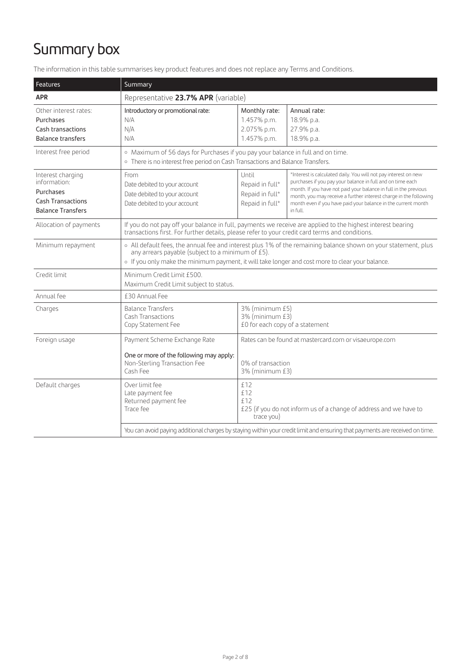# Summary box

The information in this table summarises key product features and does not replace any Terms and Conditions.

| Features                                                                                               | Summary                                                                                                                                                                                                                                                                 |                                                                                                       |                                                                                                                                                                                                                                                                                                                                                     |
|--------------------------------------------------------------------------------------------------------|-------------------------------------------------------------------------------------------------------------------------------------------------------------------------------------------------------------------------------------------------------------------------|-------------------------------------------------------------------------------------------------------|-----------------------------------------------------------------------------------------------------------------------------------------------------------------------------------------------------------------------------------------------------------------------------------------------------------------------------------------------------|
| <b>APR</b>                                                                                             | Representative 23.7% APR (variable)                                                                                                                                                                                                                                     |                                                                                                       |                                                                                                                                                                                                                                                                                                                                                     |
| Other interest rates:<br>Purchases<br>Cash transactions<br><b>Balance transfers</b>                    | Introductory or promotional rate:<br>N/A<br>N/A<br>N/A                                                                                                                                                                                                                  | Monthly rate:<br>1.457% p.m.<br>2.075% p.m.<br>1.457% p.m.                                            | Annual rate:<br>18.9% p.a.<br>27.9% p.a.<br>18.9% p.a.                                                                                                                                                                                                                                                                                              |
| Interest free period                                                                                   | o Maximum of 56 days for Purchases if you pay your balance in full and on time.<br>o There is no interest free period on Cash Transactions and Balance Transfers.                                                                                                       |                                                                                                       |                                                                                                                                                                                                                                                                                                                                                     |
| Interest charging<br>information:<br>Purchases<br><b>Cash Transactions</b><br><b>Balance Transfers</b> | From<br>Date debited to your account<br>Date debited to your account<br>Date debited to your account                                                                                                                                                                    | Until<br>Repaid in full*<br>Repaid in full*<br>Repaid in full*                                        | *Interest is calculated daily. You will not pay interest on new<br>purchases if you pay your balance in full and on time each<br>month. If you have not paid your balance in full in the previous<br>month, you may receive a further interest charge in the following<br>month even if you have paid your balance in the current month<br>in full. |
| Allocation of payments                                                                                 | If you do not pay off your balance in full, payments we receive are applied to the highest interest bearing<br>transactions first. For further details, please refer to your credit card terms and conditions.                                                          |                                                                                                       |                                                                                                                                                                                                                                                                                                                                                     |
| Minimum repayment                                                                                      | o All default fees, the annual fee and interest plus 1% of the remaining balance shown on your statement, plus<br>any arrears payable (subject to a minimum of £5).<br>o If you only make the minimum payment, it will take longer and cost more to clear your balance. |                                                                                                       |                                                                                                                                                                                                                                                                                                                                                     |
| Credit limit                                                                                           | Minimum Credit Limit £500.<br>Maximum Credit Limit subject to status.                                                                                                                                                                                                   |                                                                                                       |                                                                                                                                                                                                                                                                                                                                                     |
| Annual fee                                                                                             | £30 Annual Fee                                                                                                                                                                                                                                                          |                                                                                                       |                                                                                                                                                                                                                                                                                                                                                     |
| Charges                                                                                                | <b>Balance Transfers</b><br><b>Cash Transactions</b><br>Copy Statement Fee                                                                                                                                                                                              | 3% (minimum £5)<br>3% (minimum £3)<br>£0 for each copy of a statement                                 |                                                                                                                                                                                                                                                                                                                                                     |
| Foreign usage                                                                                          | Payment Scheme Exchange Rate                                                                                                                                                                                                                                            | Rates can be found at mastercard.com or visaeurope.com                                                |                                                                                                                                                                                                                                                                                                                                                     |
|                                                                                                        | One or more of the following may apply:<br>Non-Sterling Transaction Fee<br>Cash Fee                                                                                                                                                                                     | 0% of transaction<br>3% (minimum £3)                                                                  |                                                                                                                                                                                                                                                                                                                                                     |
| Default charges                                                                                        | Over limit fee<br>Late payment fee<br>Returned payment fee<br>Trace fee                                                                                                                                                                                                 | £12<br>f12<br>£12<br>£25 (if you do not inform us of a change of address and we have to<br>trace you) |                                                                                                                                                                                                                                                                                                                                                     |
|                                                                                                        | You can avoid paying additional charges by staying within your credit limit and ensuring that payments are received on time.                                                                                                                                            |                                                                                                       |                                                                                                                                                                                                                                                                                                                                                     |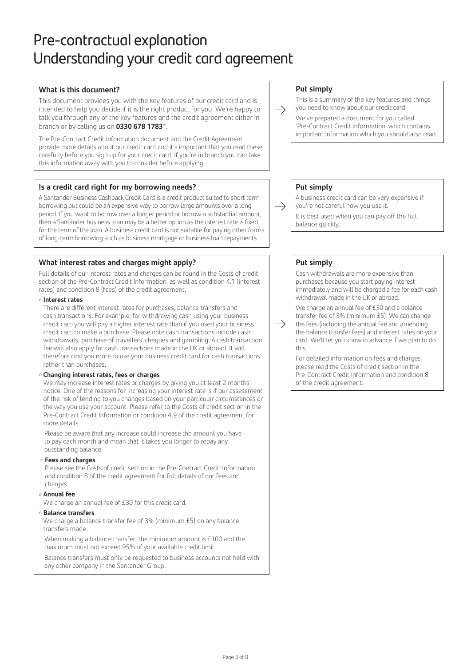# Pre-contractual explanation Understanding your credit card agreement

# **What is this document?**

This document provides you with the key features of our credit card and is intended to help you decide if it is the right product for you. We're happy to talk you through any of the key features and the credit agreement either in branch or by calling us on **0330 678 1783**\*.

The Pre-Contract Credit Information document and the Credit Agreement provide more details about our credit card and it's important that you read these carefully before you sign up for your credit card. If you're in branch you can take this information away with you to consider before applying.

# **Is a credit card right for my borrowing needs?**

A Santander Business Cashback Credit Card is a credit product suited to short term borrowing but could be an expensive way to borrow large amounts over a long period. If you want to borrow over a longer period or borrow a substantial amount, then a Santander business loan may be a better option as the interest rate is fixed for the term of the loan. A business credit card is not suitable for paying other forms of long-term borrowing such as business mortgage or business loan repayments.

# **What interest rates and charges might apply?**

Full details of our interest rates and charges can be found in the Costs of credit section of the Pre-Contract Credit Information, as well as condition 4.1 (interest rates) and condition 8 (fees) of the credit agreement.

### ¡ **Interest rates**

There are different interest rates for purchases, balance transfers and cash transactions. For example, for withdrawing cash using your business credit card you will pay a higher interest rate than if you used your business credit card to make a purchase. Please note cash transactions include cash withdrawals, purchase of travellers' cheques and gambling. A cash transaction fee will also apply for cash transactions made in the UK or abroad. It will therefore cost you more to use your business credit card for cash transactions rather than purchases.

### ¡ **Changing interest rates, fees or charges**

We may increase interest rates or charges by giving you at least 2 months' notice. One of the reasons for increasing your interest rate is if our assessment of the risk of lending to you changes based on your particular circumstances or the way you use your account. Please refer to the Costs of credit section in the Pre-Contract Credit Information or condition 4.9 of the credit agreement for more details.

Please be aware that any increase could increase the amount you have to pay each month and mean that it takes you longer to repay any outstanding balance.

### ¡ **Fees and charges**

Please see the Costs of credit section in the Pre-Contract Credit Information and condition 8 of the credit agreement for full details of our fees and charges.

### ¡ **Annual fee**

We charge an annual fee of £30 for this credit card.

¡ **Balance transfers**

We charge a balance transfer fee of 3% (minimum £5) on any balance transfers made.

 When making a balance transfer, the minimum amount is £100 and the maximum must not exceed 95% of your available credit limit.

 Balance transfers must only be requested to business accounts not held with any other company in the Santander Group.

# **Put simply**

 $\rightarrow$ 

 $\rightarrow$ 

 $\rightarrow$ 

This is a summary of the key features and things you need to know about our credit card.

We've prepared a document for you called 'Pre-Contract Credit Information' which contains important information which you should also read.

# **Put simply**

A business credit card can be very expensive if you're not careful how you use it.

It is best used when you can pay off the full balance quickly.

# **Put simply**

Cash withdrawals are more expensive than purchases because you start paying interest immediately and will be charged a fee for each cash withdrawal made in the UK or abroad.

We charge an annual fee of £30 and a balance transfer fee of 3% (minimum £5). We can change the fees (including the annual fee and amending the balance transfer fees) and interest rates on your card. We'll let you know in advance if we plan to do this.

For detailed information on fees and charges please read the Costs of credit section in the Pre-Contract Credit Information and condition 8 of the credit agreement.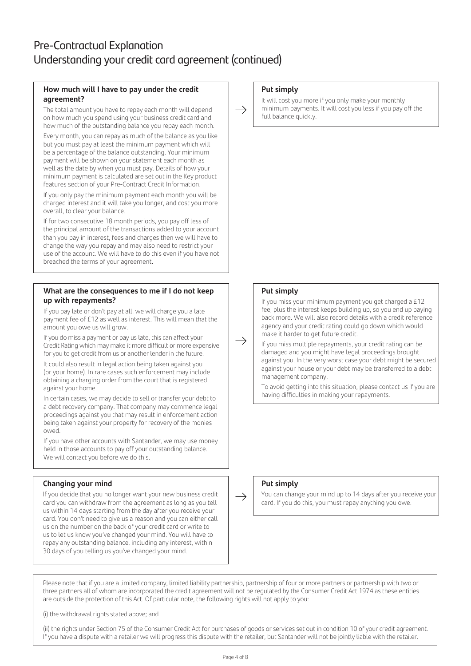# Pre-Contractual Explanation Understanding your credit card agreement (continued)

# **How much will I have to pay under the credit agreement?**

The total amount you have to repay each month will depend on how much you spend using your business credit card and how much of the outstanding balance you repay each month.

Every month, you can repay as much of the balance as you like but you must pay at least the minimum payment which will be a percentage of the balance outstanding. Your minimum payment will be shown on your statement each month as well as the date by when you must pay. Details of how your minimum payment is calculated are set out in the Key product features section of your Pre-Contract Credit Information.

If you only pay the minimum payment each month you will be charged interest and it will take you longer, and cost you more overall, to clear your balance.

If for two consecutive 18 month periods, you pay off less of the principal amount of the transactions added to your account than you pay in interest, fees and charges then we will have to change the way you repay and may also need to restrict your use of the account. We will have to do this even if you have not breached the terms of your agreement.

# **What are the consequences to me if I do not keep up with repayments?**

If you pay late or don't pay at all, we will charge you a late payment fee of £12 as well as interest. This will mean that the amount you owe us will grow.

If you do miss a payment or pay us late, this can affect your Credit Rating which may make it more difficult or more expensive for you to get credit from us or another lender in the future.

It could also result in legal action being taken against you (or your home). In rare cases such enforcement may include obtaining a charging order from the court that is registered against your home.

In certain cases, we may decide to sell or transfer your debt to a debt recovery company. That company may commence legal proceedings against you that may result in enforcement action being taken against your property for recovery of the monies owed.

If you have other accounts with Santander, we may use money held in those accounts to pay off your outstanding balance. We will contact you before we do this.

# **Changing your mind**

If you decide that you no longer want your new business credit card you can withdraw from the agreement as long as you tell us within 14 days starting from the day after you receive your card. You don't need to give us a reason and you can either call us on the number on the back of your credit card or write to us to let us know you've changed your mind. You will have to repay any outstanding balance, including any interest, within 30 days of you telling us you've changed your mind.

## **Put simply**

 $\rightarrow$ 

 $\rightarrow$ 

It will cost you more if you only make your monthly minimum payments. It will cost you less if you pay off the full balance quickly.

# **Put simply**

If you miss your minimum payment you get charged a £12 fee, plus the interest keeps building up, so you end up paying back more. We will also record details with a credit reference agency and your credit rating could go down which would make it harder to get future credit.

If you miss multiple repayments, your credit rating can be damaged and you might have legal proceedings brought against you. In the very worst case your debt might be secured against your house or your debt may be transferred to a debt management company.

To avoid getting into this situation, please contact us if you are having difficulties in making your repayments.

### **Put simply**

You can change your mind up to 14 days after you receive your card. If you do this, you must repay anything you owe.

Please note that if you are a limited company, limited liability partnership, partnership of four or more partners or partnership with two or three partners all of whom are incorporated the credit agreement will not be regulated by the Consumer Credit Act 1974 as these entities are outside the protection of this Act. Of particular note, the following rights will not apply to you:

(i) the withdrawal rights stated above; and

(ii) the rights under Section 75 of the Consumer Credit Act for purchases of goods or services set out in condition 10 of your credit agreement. If you have a dispute with a retailer we will progress this dispute with the retailer, but Santander will not be jointly liable with the retailer.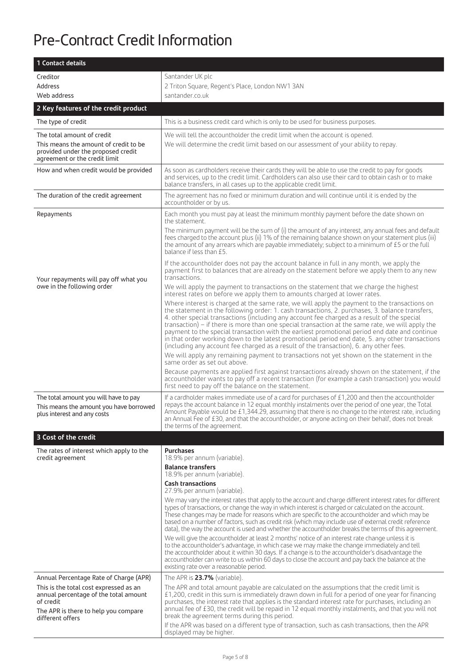# Pre-Contract Credit Information

| 1 Contact details                                                                                                                                                                                  |                                                                                                                                                                                                                                                                                                                                                                                                                                                                                                                                                                                                                                                                                                                                                                                                                                                                                                                                                                                              |  |
|----------------------------------------------------------------------------------------------------------------------------------------------------------------------------------------------------|----------------------------------------------------------------------------------------------------------------------------------------------------------------------------------------------------------------------------------------------------------------------------------------------------------------------------------------------------------------------------------------------------------------------------------------------------------------------------------------------------------------------------------------------------------------------------------------------------------------------------------------------------------------------------------------------------------------------------------------------------------------------------------------------------------------------------------------------------------------------------------------------------------------------------------------------------------------------------------------------|--|
| Creditor                                                                                                                                                                                           | Santander UK plc                                                                                                                                                                                                                                                                                                                                                                                                                                                                                                                                                                                                                                                                                                                                                                                                                                                                                                                                                                             |  |
| Address<br>Web address                                                                                                                                                                             | 2 Triton Square, Regent's Place, London NW1 3AN<br>santander.co.uk                                                                                                                                                                                                                                                                                                                                                                                                                                                                                                                                                                                                                                                                                                                                                                                                                                                                                                                           |  |
| 2 Key features of the credit product                                                                                                                                                               |                                                                                                                                                                                                                                                                                                                                                                                                                                                                                                                                                                                                                                                                                                                                                                                                                                                                                                                                                                                              |  |
|                                                                                                                                                                                                    |                                                                                                                                                                                                                                                                                                                                                                                                                                                                                                                                                                                                                                                                                                                                                                                                                                                                                                                                                                                              |  |
| The type of credit                                                                                                                                                                                 | This is a business credit card which is only to be used for business purposes.                                                                                                                                                                                                                                                                                                                                                                                                                                                                                                                                                                                                                                                                                                                                                                                                                                                                                                               |  |
| The total amount of credit<br>This means the amount of credit to be<br>provided under the proposed credit<br>agreement or the credit limit                                                         | We will tell the accountholder the credit limit when the account is opened.<br>We will determine the credit limit based on our assessment of your ability to repay.                                                                                                                                                                                                                                                                                                                                                                                                                                                                                                                                                                                                                                                                                                                                                                                                                          |  |
| How and when credit would be provided                                                                                                                                                              | As soon as cardholders receive their cards they will be able to use the credit to pay for goods<br>and services, up to the credit limit. Cardholders can also use their card to obtain cash or to make<br>balance transfers, in all cases up to the applicable credit limit.                                                                                                                                                                                                                                                                                                                                                                                                                                                                                                                                                                                                                                                                                                                 |  |
| The duration of the credit agreement                                                                                                                                                               | The agreement has no fixed or minimum duration and will continue until it is ended by the<br>accountholder or by us.                                                                                                                                                                                                                                                                                                                                                                                                                                                                                                                                                                                                                                                                                                                                                                                                                                                                         |  |
| Repayments                                                                                                                                                                                         | Each month you must pay at least the minimum monthly payment before the date shown on<br>the statement.<br>The minimum payment will be the sum of (i) the amount of any interest, any annual fees and default<br>fees charged to the account plus (ii) 1% of the remaining balance shown on your statement plus (iii)<br>the amount of any arrears which are payable immediately; subject to a minimum of £5 or the full<br>balance if less than £5.<br>If the accountholder does not pay the account balance in full in any month, we apply the<br>payment first to balances that are already on the statement before we apply them to any new                                                                                                                                                                                                                                                                                                                                              |  |
| Your repayments will pay off what you<br>owe in the following order                                                                                                                                | transactions.<br>We will apply the payment to transactions on the statement that we charge the highest<br>interest rates on before we apply them to amounts charged at lower rates.<br>Where interest is charged at the same rate, we will apply the payment to the transactions on<br>the statement in the following order: 1. cash transactions, 2. purchases, 3. balance transfers,<br>4. other special transactions (including any account fee charged as a result of the special<br>transaction) – if there is more than one special transaction at the same rate, we will apply the<br>payment to the special transaction with the earliest promotional period end date and continue<br>in that order working down to the latest promotional period end date, 5. any other transactions<br>(including any account fee charged as a result of the transaction), 6. any other fees.                                                                                                      |  |
|                                                                                                                                                                                                    | We will apply any remaining payment to transactions not yet shown on the statement in the<br>same order as set out above.                                                                                                                                                                                                                                                                                                                                                                                                                                                                                                                                                                                                                                                                                                                                                                                                                                                                    |  |
|                                                                                                                                                                                                    | Because payments are applied first against transactions already shown on the statement, if the<br>accountholder wants to pay off a recent transaction (for example a cash transaction) you would<br>first need to pay off the balance on the statement.                                                                                                                                                                                                                                                                                                                                                                                                                                                                                                                                                                                                                                                                                                                                      |  |
| The total amount you will have to pay<br>This means the amount you have borrowed<br>plus interest and any costs                                                                                    | If a cardholder makes immediate use of a card for purchases of £1,200 and then the accountholder<br>repays the account balance in 12 equal monthly instalments over the period of one year, the Total<br>Amount Payable would be £1,344.29, assuming that there is no change to the interest rate, including<br>an Annual Fee of £30, and that the accountholder, or anyone acting on their behalf, does not break<br>the terms of the agreement.                                                                                                                                                                                                                                                                                                                                                                                                                                                                                                                                            |  |
| 3 Cost of the credit                                                                                                                                                                               |                                                                                                                                                                                                                                                                                                                                                                                                                                                                                                                                                                                                                                                                                                                                                                                                                                                                                                                                                                                              |  |
| The rates of interest which apply to the<br>credit agreement                                                                                                                                       | <b>Purchases</b><br>18.9% per annum (variable).<br><b>Balance transfers</b><br>18.9% per annum (variable).<br><b>Cash transactions</b><br>27.9% per annum (variable).                                                                                                                                                                                                                                                                                                                                                                                                                                                                                                                                                                                                                                                                                                                                                                                                                        |  |
|                                                                                                                                                                                                    | We may vary the interest rates that apply to the account and charge different interest rates for different<br>types of transactions, or change the way in which interest is charged or calculated on the account.<br>These changes may be made for reasons which are specific to the accountholder and which may be<br>based on a number of factors, such as credit risk (which may include use of external credit reference<br>data), the way the account is used and whether the accountholder breaks the terms of this agreement.<br>We will give the accountholder at least 2 months' notice of an interest rate change unless it is<br>to the accountholder's advantage, in which case we may make the change immediately and tell<br>the accountholder about it within 30 days. If a change is to the accountholder's disadvantage the<br>accountholder can write to us within 60 days to close the account and pay back the balance at the<br>existing rate over a reasonable period. |  |
| Annual Percentage Rate of Charge (APR)<br>This is the total cost expressed as an<br>annual percentage of the total amount<br>of credit<br>The APR is there to help you compare<br>different offers | The APR is 23.7% (variable).<br>The APR and total amount payable are calculated on the assumptions that the credit limit is<br>£1,200, credit in this sum is immediately drawn down in full for a period of one year for financing<br>purchases, the interest rate that applies is the standard interest rate for purchases, including an<br>annual fee of £30, the credit will be repaid in 12 equal monthly instalments, and that you will not<br>break the agreement terms during this period.<br>If the APR was based on a different type of transaction, such as cash transactions, then the APR<br>displayed may be higher.                                                                                                                                                                                                                                                                                                                                                            |  |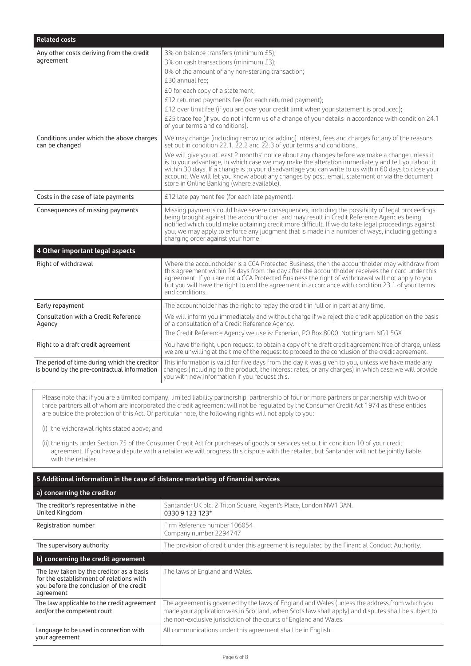| <b>Related costs</b>                                                                        |                                                                                                                                                                                                                                                                                                                                                                                                                                                                                                                                                                                                                                       |
|---------------------------------------------------------------------------------------------|---------------------------------------------------------------------------------------------------------------------------------------------------------------------------------------------------------------------------------------------------------------------------------------------------------------------------------------------------------------------------------------------------------------------------------------------------------------------------------------------------------------------------------------------------------------------------------------------------------------------------------------|
| Any other costs deriving from the credit<br>agreement                                       | 3% on balance transfers (minimum £5);<br>3% on cash transactions (minimum £3);<br>0% of the amount of any non-sterling transaction;<br>£30 annual fee;<br>£0 for each copy of a statement;<br>£12 returned payments fee (for each returned payment);<br>£12 over limit fee (if you are over your credit limit when your statement is produced);<br>£25 trace fee (if you do not inform us of a change of your details in accordance with condition 24.1<br>of your terms and conditions).                                                                                                                                             |
| Conditions under which the above charges<br>can be changed                                  | We may change (including removing or adding) interest, fees and charges for any of the reasons<br>set out in condition 22.1, 22.2 and 22.3 of your terms and conditions.<br>We will give you at least 2 months' notice about any changes before we make a change unless it<br>is to your advantage, in which case we may make the alteration immediately and tell you about it<br>within 30 days. If a change is to your disadvantage you can write to us within 60 days to close your<br>account. We will let you know about any changes by post, email, statement or via the document<br>store in Online Banking (where available). |
| Costs in the case of late payments                                                          | £12 late payment fee (for each late payment).                                                                                                                                                                                                                                                                                                                                                                                                                                                                                                                                                                                         |
| Consequences of missing payments                                                            | Missing payments could have severe consequences, including the possibility of legal proceedings<br>being brought against the accountholder, and may result in Credit Reference Agencies being<br>notified which could make obtaining credit more difficult. If we do take legal proceedings against<br>you, we may apply to enforce any judgment that is made in a number of ways, including getting a<br>charging order against your home.                                                                                                                                                                                           |
| 4 Other important legal aspects                                                             |                                                                                                                                                                                                                                                                                                                                                                                                                                                                                                                                                                                                                                       |
| Right of withdrawal                                                                         | Where the accountholder is a CCA Protected Business, then the accountholder may withdraw from<br>this agreement within 14 days from the day after the accountholder receives their card under this<br>agreement. If you are not a CCA Protected Business the right of withdrawal will not apply to you<br>but you will have the right to end the agreement in accordance with condition 23.1 of your terms<br>and conditions.                                                                                                                                                                                                         |
| Early repayment                                                                             | The accountholder has the right to repay the credit in full or in part at any time.                                                                                                                                                                                                                                                                                                                                                                                                                                                                                                                                                   |
| Consultation with a Credit Reference<br>Agency                                              | We will inform you immediately and without charge if we reject the credit application on the basis<br>of a consultation of a Credit Reference Agency.<br>The Credit Reference Agency we use is: Experian, PO Box 8000, Nottingham NG1 5GX.                                                                                                                                                                                                                                                                                                                                                                                            |
| Right to a draft credit agreement                                                           | You have the right, upon request, to obtain a copy of the draft credit agreement free of charge, unless<br>we are unwilling at the time of the request to proceed to the conclusion of the credit agreement.                                                                                                                                                                                                                                                                                                                                                                                                                          |
| The period of time during which the creditor<br>is bound by the pre-contractual information | This information is valid for five days from the day it was given to you, unless we have made any<br>changes (including to the product, the interest rates, or any charges) in which case we will provide<br>you with new information if you request this.                                                                                                                                                                                                                                                                                                                                                                            |

Please note that if you are a limited company, limited liability partnership, partnership of four or more partners or partnership with two or three partners all of whom are incorporated the credit agreement will not be regulated by the Consumer Credit Act 1974 as these entities are outside the protection of this Act. Of particular note, the following rights will not apply to you:

(i) the withdrawal rights stated above; and

(ii) the rights under Section 75 of the Consumer Credit Act for purchases of goods or services set out in condition 10 of your credit agreement. If you have a dispute with a retailer we will progress this dispute with the retailer, but Santander will not be jointly liable with the retailer.

# **5 Additional information in the case of distance marketing of financial services**

# **a) concerning the creditor**

| The creditor's representative in the<br>United Kingdom                                                                                      | Santander UK plc, 2 Triton Square, Regent's Place, London NW1 3AN.<br>0330 9 123 123*                                                                                                                                                                                      |
|---------------------------------------------------------------------------------------------------------------------------------------------|----------------------------------------------------------------------------------------------------------------------------------------------------------------------------------------------------------------------------------------------------------------------------|
| Registration number                                                                                                                         | Firm Reference number 106054<br>Company number 2294747                                                                                                                                                                                                                     |
| The supervisory authority                                                                                                                   | The provision of credit under this agreement is regulated by the Financial Conduct Authority.                                                                                                                                                                              |
| b) concerning the credit agreement                                                                                                          |                                                                                                                                                                                                                                                                            |
| The law taken by the creditor as a basis<br>for the establishment of relations with<br>you before the conclusion of the credit<br>agreement | The laws of England and Wales.                                                                                                                                                                                                                                             |
| The law applicable to the credit agreement<br>and/or the competent court                                                                    | The agreement is governed by the laws of England and Wales (unless the address from which you<br>made your application was in Scotland, when Scots law shall apply) and disputes shall be subject to<br>the non-exclusive jurisdiction of the courts of England and Wales. |
| Language to be used in connection with<br>your agreement                                                                                    | All communications under this agreement shall be in English.                                                                                                                                                                                                               |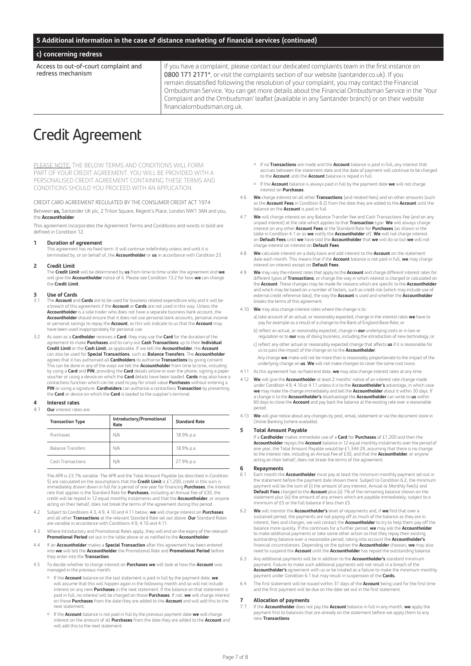#### **5 Additional information in the case of distance marketing of financial services (continued)**

#### **c) concerning redress**

Access to out-of-court complaint and redress mechanism

If you have a complaint, please contact our dedicated complaints team in the first instance on 0800 171 2171\*, or visit the complaints section of our website (santander.co.uk). If you remain dissatisfied following the resolution of your complaint, you may contact the Financial Ombudsman Service. You can get more details about the Financial Ombudsman Service in the 'Your Complaint and the Ombudsman' leaflet (available in any Santander branch) or on their website financialombudsman.org.uk.

# Credit Agreement

PLEASE NOTE: THE BELOW TERMS AND CONDITIONS WILL FORM PART OF YOUR CREDIT AGREEMENT. YOU WILL BE PROVIDED WITH A PERSONALISED CREDIT AGREEMENT CONTAINING THESE TERMS AND CONDITIONS SHOULD YOU PROCEED WITH AN APPLICATION.

CREDIT CARD AGREEMENT REGULATED BY THE CONSUMER CREDIT ACT 1974 Between **us,** Santander UK plc, 2 Triton Square, Regent's Place, London NW1 3AN and you, the **Accountholder**.

This agreement incorporates the Agreement Terms and Conditions and words in bold are defined in Condition 12.

#### **1 Duration of agreement**

 This agreement has no fixed term. It will continue indefinitely unless and until it is terminated by, or on behalf of, the **Accountholder** or **us** in accordance with Condition 23.

#### **2 Credit Limit**

 The **Credit Limit** will be determined by **us** from time to time under the agreement and **we**  will give the **Accountholder** notice of it. Please see Condition 13.2 for how **we** can change the **Credit Limit**.

# **3 Use of Cards**

- 3.1 The **Account** and **Cards** are to be used for business related expenditure only and it will be a breach of this agreement if the **Account** or **Cards** are not used in this way. Unless the **Accountholder** is a sole trader who does not have a separate business bank account, the **Accountholder** should ensure that it does not use personal bank accounts, personal income or personal savings to repay the **Account**, as this will indicate to us that the **Account** may have been used inappropriately for personal use.
- 3.2 As soon as a **Cardholder** receives a **Card**, they may use the **Card** for the duration of the agreement to make **Purchases** and to carry out **Cash Transactions** up to their **Individual Credit Limit** or the **Cash Limit**, as applicable. If we tell the **Accountholder**, the **Account** can also be used for **Special Transactions**, such as **Balance Transfers**. The **Accountholder** agrees that it has authorised all **Cardholders** to authorise **Transactions** by giving consent. This can be done in any of the ways we tell the **Accountholder** from time to time, including by using a **Card** and **PIN**, providing the **Card** details online or over the phone, signing a paper voucher or using a device on which the **Card** details have been loaded. **Cards** may also have a contactless function which can be used to pay for small value **Purchases** without entering a **PIN** or using a signature. **Cardholders** can authorise a contactless **Transaction** by presenting the **Card** or device on which the **Card** is loaded to the supplier's terminal.

# **4 Interest rates**<br>4.1 **Our** interest rate

#### **Our** interest rates are

| <b>Transaction Type</b>  | Introductory/Promotional<br>Rate | <b>Standard Rate</b> |  |  |
|--------------------------|----------------------------------|----------------------|--|--|
| Purchases                | N/A                              | 18.9% p.a.           |  |  |
| <b>Balance Transfers</b> | N/A                              | 18.9% p.a.           |  |  |
| Cash Transactions        | N/A                              | 27.9% p.a.           |  |  |

 The APR is 23.7% variable. The APR and the Total Amount Payable (as described in Condition 5) are calculated on the assumptions that the **Credit Limit** is £1,200, credit in this sum is immediately drawn down in full for a period of one year for financing **Purchases**, the interest rate that applies is the Standard Rate for **Purchases**, including an Annual Fee of £30, the credit will be repaid in 12 equal monthly instalments and that the **Accountholder**, or anyone<br>acting on their behalf, does not break the terms of the agreement during this period.

- 4.2 Subject to Conditions 4.3, 4.9, 4.10 and 4.11 below, **we** will charge interest on **Purchases**  and all other **Transactions** at the relevant Standard Rate set out above. **Our** Standard Rates are variable in accordance with Conditions 4.9, 4.10 and 4.11.
- 4.3 Where Introductory and Promotional Rates apply, they will end on the expiry of the relevant **Promotional Period** set out in the table above or as notified to the **Accountholder**.
- 4.4 If an **Accountholder** makes a **Special Transaction** after this agreement has been entered into **we** will tell the **Accountholder** the Promotional Rate and **Promotional Period** before they enter into the **Transaction**.
- 4.5 To decide whether to charge interest on **Purchases we** will look at how the **Account** was managed in the previous month:
	- ¡ If the **Account** balance on the last statement is paid in full by the payment date, **we**  will assume that this will happen again in the following month and so will not include interest on any new **Purchases** in the next statement. If the balance on that statement is paid in full, no interest will be charged on those **Purchases**. If not, **we** will charge interest on those **Purchases** from the date they are added to the **Account** and will add this to the next statement.
	- ¡ If the **Account** balance is not paid in full by the previous payment date **we** will charge interest on the amount of all **Purchases** from the date they are added to the **Account** and will add this to the next statement.
- ¡ If no **Transactions** are made and the **Account** balance is paid in full, any interest that accrues between the statement date and the date of payment will continue to be charged to the **Account** until the **Account** balance is repaid in full.
- ¡ If the **Account** balance is always paid in full by the payment date **we** will not charge interest on **Purchases**.
- 4.6 **We** charge interest on all other **Transactions** (and related fees) and on other amounts (such as the **Account Fees** in Condition 8.2) from the date they are added to the **Account** until the balance on the **Account** is paid in full.
- 4.7 **We** will charge interest on any Balance Transfer Fee and Cash Transactions Fee (and on any unpaid interest) at the rate which applies to that **Transaction** type. **We** will always charge interest on any other **Account Fees** at the Standard Rate for **Purchases** (as shown in the table in Condition 4.1 or as **we** notify the **Accountholder** of). **We** will not charge interest on **Default Fees** until **we** have told the **Accountholder** that **we** will do so but **we** will not charge interest on interest on **Default Fees**.
- 4.8 **We** calculate interest on a daily basis and add interest to the **Account** on the statement date each month. This means that if the **Account** balance is not paid in full, **we** may charge interest on interest except on **Default Fees**.
- 4.9 **We** may vary the interest rates that apply to the **Account** and charge different interest rates for different types of **Transactions**, or change the way in which interest is charged or calculated on the **Account**. These changes may be made for reasons which are specific to the **Accountholder** and which may be based on a number of factors, such as credit risk (which may include use of external credit reference data), the way the **Account** is used and whether the **Accountholder**  breaks the terms of this agreement.
- 4.10 **We** may also change interest rates where the change is to:
	- a) take account of an actual, or reasonably expected, change in the interest rates **we** have to pay for example as a result of a change to the Bank of England Base Rate; or
	- b) reflect an actual, or reasonably expected, change in **our** underlying costs or in law or regulation or to **our** way of doing business, including the introduction of new technology; or c) reflect any other actual or reasonably expected change that affects **us** if it is reasonable for us to pass the impact of the change on to the **Accountholder**.
	- Any change **we** make will not be more than is reasonably proportionate to the impact of the underlying change on **us**. **We** will not make changes to cover the same cost twice.
- 4.11 As this agreement has no fixed end date, **we** may also change interest rates at any time.
- 4.12 **We** will give the **Accountholder** at least 2 months' notice of an interest rate change made under Condition 4.9, 4.10 or 4.11 unless it is to the **Accountholder's** advantage, in which case **we** may make the change immediately and tell the **Accountholder** about it within 30 days. If a change is to the **Accountholder's** disadvantage the **Accountholder** can write to **us** within 60 days to close the **Account** and pay back the balance at the existing rate over a reasonable period.
- 4.13 **We** will give notice about any changes by post, email, statement or via the document store in Online Banking (where available).

#### **5 Total Amount Payable**

If a **Cardholder** makes immediate use of a **Card** for **Purchases** of £1,200 and then the **Accountholder** repays the **Account** balance in 12 equal monthly instalments over the period of one year, the Total Amount Payable would be £1,344.29, assuming that there is no change to the interest rate, including an Annual Fee of £30, and that the **Accountholder**, or anyone acting on their behalf, does not break the terms of the agreement.

# **6 Repayments**<br>**6.1** Fach month the

- 6.1 Each month the **Accountholder** must pay at least the minimum monthly payment set out in the statement before the payment date shown there. Subject to Condition 6.2, the minimum<br>payment will be the sum of (i) the amount of any interest, Annual or Monthly Fee(s) and<br>**Default Fees** charged to the **Account** plus minimum of £5 or the full balance if less than £5.
- 6.2 **We** will monitor the **Accountholder's** level of repayments and, if **we** find that over a sustained period, the payments are not paying off as much of the balance as they are in interest, fees and charges, we will contact the **Accountholder** to try to help them pay off the balance more quickly. If this continues for a further period, **we** may ask the **Accountholder** to make additional payments or take some other action so that they repay their existing outstanding balance over a reasonable period, taking into account the **Accountholder's** financial circumstances. Depending on the option the **Accountholder** chooses, **we** may also need to suspend the **Account** until the **Accountholder** has repaid the outstanding balance.
- 6.3 Any additional payments will be in addition to the **Accountholder's** standard minimum payment. Failure to make such additional payments will not result in a breach of the **Accountholder's** agreement with us or be treated as a failure to make the minimum monthly payment under Condition 6.1 but may result in suspension of the **Cards.**
- 6.4 The first statement will be issued within 31 days of the **Account** being used for the first time and the first payment will be due on the date set out in the first statement.

# **7 Allocation of payments**<br>**71** If the **Accountholder** does no

7.1 If the **Accountholder** does not pay the **Account** balance in full in any month, **we** apply the payment first to balances that are already on the statement before we apply them to any new **Transactions**.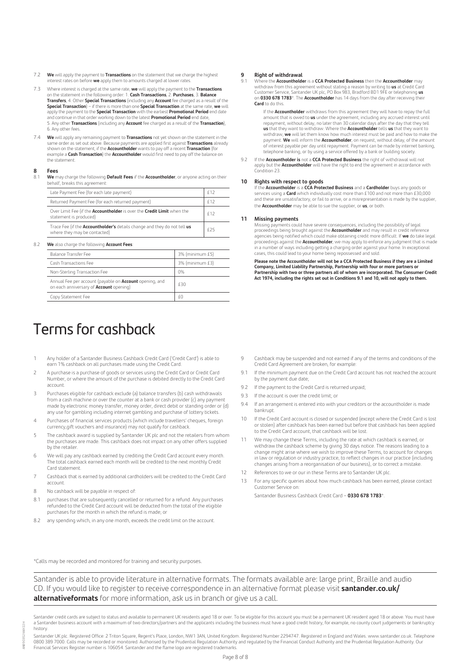- 7.2 **We** will apply the payment to **Transactions** on the statement that we charge the highest iterest rates on before we apply them to amounts charged at lower rates.
- 7.3 Where interest is charged at the same rate, **we** will apply the payment to the **Transactions** on the statement in the following order: 1. **Cash Transactions**, 2. **Purchases**, 3. **Balance**<br>T**ransfers**, 4. Other **Special Transactions** (including any **Account** fee charged as a result of the **Special Transaction**) – if there is more than one **Special Transaction** at the same rate, **we** will apply the payment to the **Special Transaction** with the earliest **Promotional Period** end date and continue in that order working down to the latest **Promotional Period** end date, 5. Any other **Transactions** (including any **Account** fee charged as a result of the **Transaction**), 6. Any other fees.
- 7.4 **We** will apply any remaining payment to **Transactions** not yet shown on the statement in the same order as set out above. Because payments are applied first against **Transactions** already shown on the statement, if the **Accountholder** wants to pay off a recent **Transaction** (for example a **Cash Transaction**) the **Accountholder** would first need to pay off the balance on the statement.

# **8 Fees**

8.1 **We** may charge the following **Default Fees** if the **Accountholder**, or anyone acting on their behalf, breaks this agreement:

| Late Payment Fee (for each late payment)                                                                        |            |
|-----------------------------------------------------------------------------------------------------------------|------------|
| Returned Payment Fee (for each returned payment)                                                                | <b>f12</b> |
| Over Limit Fee (if the Accountholder is over the Credit Limit when the<br>statement is produced)                | f12        |
| Trace Fee (if the <b>Accountholder's</b> details change and they do not tell us<br>where they may be contacted) | <b>f25</b> |

#### 8.2 **We** also charge the following **Account Fees**:

| <b>Balance Transfer Fee</b>                                                                                      | 3% (minimum £5) |
|------------------------------------------------------------------------------------------------------------------|-----------------|
| Cash Transactions Fee                                                                                            | 3% (minimum £3) |
| Non-Sterling Transaction Fee                                                                                     | 0%              |
| Annual Fee per account (payable on <b>Account</b> opening, and<br>on each anniversary of <b>Account</b> opening) | £30             |
| Copy Statement Fee                                                                                               | £Ω              |

# Terms for cashback

- 1 Any holder of a Santander Business Cashback Credit Card ('Credit Card') is able to earn 1% cashback on all purchases made using the Credit Card.
- 2 A purchase is a purchase of goods or services using the Credit Card or Credit Card Number, or where the amount of the purchase is debited directly to the Credit Card account.
- 3 Purchases eligible for cashback exclude (a) balance transfers (b) cash withdrawals from a cash machine or over the counter at a bank or cash provider (c) any payment made by electronic money transfer, money order, direct debit or standing order or (d) any use for gambling including internet gambling and purchase of lottery tickets.
- 4 Purchases of financial services products (which include travellers' cheques, foreign currency,gift vouchers and insurance) may not qualify for cashback.
- 5 The cashback award is supplied by Santander UK plc and not the retailers from whom the purchases are made. This cashback does not impact on any other offers supplied by the retailer.
- 6 We will pay any cashback earned by crediting the Credit Card account every month. The total cashback earned each month will be credited to the next monthly Credit Card statement.
- 7 Cashback that is earned by additional cardholders will be credited to the Credit Card account.
- 8 No cashback will be payable in respect of:
- 8.1 purchases that are subsequently cancelled or returned for a refund. Any purchases refunded to the Credit Card account will be deducted from the total of the eligible purchases for the month in which the refund is made; or
- 8.2 any spending which, in any one month, exceeds the credit limit on the account.

# **9 Right of withdrawal**

9.1 Where the **Accountholder** is a **CCA Protected Business** then the **Accountholder** may withdraw from this agreement without stating a reason by writing to **us** at Credit Card Customer Service, Santander UK plc, PO Box 983, Bradford BD1 9FE or telephoning **us** on **0330 678 1783**\*. The **Accountholder** has 14 days from the day after receiving their **Card** to do this.

 If the **Accountholder** withdraws from this agreement they will have to repay the full amount that is owed to **us** under the agreement, including any accrued interest until repayment, without delay, no later than 30 calendar days after the day that they tell **us** that they want to withdraw. Where the **Accountholder** tells **us** that they want to withdraw, **we** will let them know how much interest must be paid and how to make the payment. **We** will inform the **Accountholder**, on request, without delay, of the amount of interest payable per day until repayment. Payment can be made by internet banking, telephone banking, or by using a service offered by a bank or building society.

9.2 If the **Accountholder is** not a **CCA Protected Business** the right of withdrawal will not apply but the **Accountholder** will have the right to end the agreement in accordance with Condition 23.

**10 Rights with respect to goods**<br>If the **Accountholder i**s a CCA Protected Business and a Cardholder buys any goods or<br>services using a Card which individually cost more than £100 and not more than £30,000 and these are unsatisfactory, or fail to arrive, or a misrepresentation is made by the supplier, the **Accountholder** may be able to sue the supplier, or **us**, or both.

#### **11 Missing payments**

 Missing payments could have severe consequences, including the possibility of legal proceedings being brought against the **Accountholder** and may result in credit reference agencies being notified which could make obtaining credit more difficult. If **we** do take legal proceedings against the **Accountholder**, we may apply to enforce any judgment that is made in a number of ways including getting a charging order against your home. In exceptional cases, this could lead to your home being repossessed and sold.

 **Please note the Accountholder will not be a CCA Protected Business if they are a Limited Company, Limited Liability Partnership, Partnership with four or more partners or Partnership with two or three partners all of whom are incorporated. The Consumer Credit Act 1974, including the rights set out in Conditions 9.1 and 10, will not apply to them.**

- 9 Cashback may be suspended and not earned if any of the terms and conditions of the Credit Card Agreement are broken, for example:
- 9.1 If the minimum payment due on the Credit Card account has not reached the account by the payment due date;
- 9.2 If the nayment to the Credit Card is returned unpaid:
- 9.3 If the account is over the credit limit; or
- 9.4 If an arrangement is entered into with your creditors or the accountholder is made bankrupt.
- 10 If the Credit Card account is closed or suspended (except where the Credit Card is lost or stolen) after cashback has been earned but before that cashback has been applied to the Credit Card account, that cashback will be lost.
- 11 We may change these Terms, including the rate at which cashback is earned, or withdraw the cashback scheme by giving 30 days notice. The reasons leading to a change might arise where we wish to improve these Terms, to account for changes in law or regulation or industry practice, to reflect changes in our practice (including changes arising from a reorganisation of our business), or to correct a mistake.
- 12 References to we or our in these Terms are to Santander UK plc.
- 13 For any specific queries about how much cashback has been earned, please contact Customer Service on:
	- Santander Business Cashback Credit Card **0330 678 1783**\*.

\*Calls may be recorded and monitored for training and security purposes.

Santander is able to provide literature in alternative formats. The formats available are: large print, Braille and audio CD. If you would like to register to receive correspondence in an alternative format please visit **santander.co.uk/ alternativeformats** for more information, ask us in branch or give us a call.

Santander credit cards are subject to status and available to permanent UK residents aged 18 or over. To be eligible for this account you must be a permanent UK resident aged 18 or above. You must have a Santander business account with a maximum of two directors/partners and the applicants including the business must have a good credit history, for example, no county count judgements or bankruptcy history.

Santander UK plc. Registered Office: 2 Triton Square, Regent's Place, London, NW1 3AN, United Kingdom. Registered Number 2294747. Registered in England and Wales. www.santander.co.uk. Telephone<br>0800 389 7000. Calls may be Financial Services Register number is 106054. Santander and the flame logo are registered trademarks.